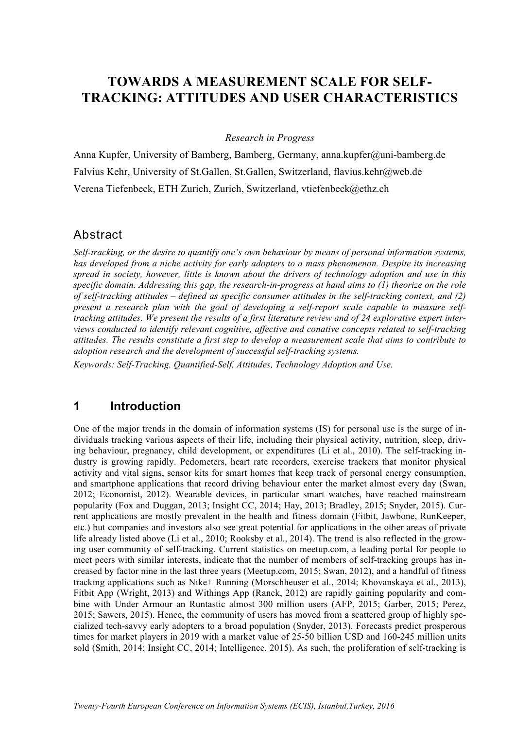# **TOWARDS A MEASUREMENT SCALE FOR SELF-TRACKING: ATTITUDES AND USER CHARACTERISTICS**

#### *Research in Progress*

Anna Kupfer, University of Bamberg, Bamberg, Germany, anna.kupfer@uni-bamberg.de Falvius Kehr, University of St.Gallen, St.Gallen, Switzerland, flavius.kehr@web.de Verena Tiefenbeck, ETH Zurich, Zurich, Switzerland, vtiefenbeck@ethz.ch

#### Abstract

*Self-tracking, or the desire to quantify one's own behaviour by means of personal information systems, has developed from a niche activity for early adopters to a mass phenomenon. Despite its increasing spread in society, however, little is known about the drivers of technology adoption and use in this specific domain. Addressing this gap, the research-in-progress at hand aims to (1) theorize on the role of self-tracking attitudes – defined as specific consumer attitudes in the self-tracking context, and (2) present a research plan with the goal of developing a self-report scale capable to measure selftracking attitudes. We present the results of a first literature review and of 24 explorative expert interviews conducted to identify relevant cognitive, affective and conative concepts related to self-tracking attitudes. The results constitute a first step to develop a measurement scale that aims to contribute to adoption research and the development of successful self-tracking systems.* 

*Keywords: Self-Tracking, Quantified-Self, Attitudes, Technology Adoption and Use.*

### **1 Introduction**

One of the major trends in the domain of information systems (IS) for personal use is the surge of individuals tracking various aspects of their life, including their physical activity, nutrition, sleep, driving behaviour, pregnancy, child development, or expenditures (Li et al., 2010). The self-tracking industry is growing rapidly. Pedometers, heart rate recorders, exercise trackers that monitor physical activity and vital signs, sensor kits for smart homes that keep track of personal energy consumption, and smartphone applications that record driving behaviour enter the market almost every day (Swan, 2012; Economist, 2012). Wearable devices, in particular smart watches, have reached mainstream popularity (Fox and Duggan, 2013; Insight CC, 2014; Hay, 2013; Bradley, 2015; Snyder, 2015). Current applications are mostly prevalent in the health and fitness domain (Fitbit, Jawbone, RunKeeper, etc.) but companies and investors also see great potential for applications in the other areas of private life already listed above (Li et al., 2010; Rooksby et al., 2014). The trend is also reflected in the growing user community of self-tracking. Current statistics on meetup.com, a leading portal for people to meet peers with similar interests, indicate that the number of members of self-tracking groups has increased by factor nine in the last three years (Meetup.com, 2015; Swan, 2012), and a handful of fitness tracking applications such as Nike+ Running (Morschheuser et al., 2014; Khovanskaya et al., 2013), Fitbit App (Wright, 2013) and Withings App (Ranck, 2012) are rapidly gaining popularity and combine with Under Armour an Runtastic almost 300 million users (AFP, 2015; Garber, 2015; Perez, 2015; Sawers, 2015). Hence, the community of users has moved from a scattered group of highly specialized tech-savvy early adopters to a broad population (Snyder, 2013). Forecasts predict prosperous times for market players in 2019 with a market value of 25-50 billion USD and 160-245 million units sold (Smith, 2014; Insight CC, 2014; Intelligence, 2015). As such, the proliferation of self-tracking is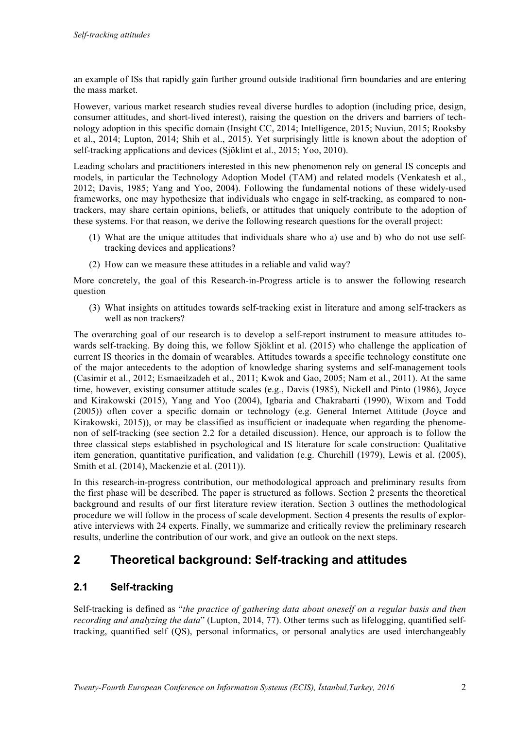an example of ISs that rapidly gain further ground outside traditional firm boundaries and are entering the mass market.

However, various market research studies reveal diverse hurdles to adoption (including price, design, consumer attitudes, and short-lived interest), raising the question on the drivers and barriers of technology adoption in this specific domain (Insight CC, 2014; Intelligence, 2015; Nuviun, 2015; Rooksby et al., 2014; Lupton, 2014; Shih et al., 2015). Yet surprisingly little is known about the adoption of self-tracking applications and devices (Sjöklint et al., 2015; Yoo, 2010).

Leading scholars and practitioners interested in this new phenomenon rely on general IS concepts and models, in particular the Technology Adoption Model (TAM) and related models (Venkatesh et al., 2012; Davis, 1985; Yang and Yoo, 2004). Following the fundamental notions of these widely-used frameworks, one may hypothesize that individuals who engage in self-tracking, as compared to nontrackers, may share certain opinions, beliefs, or attitudes that uniquely contribute to the adoption of these systems. For that reason, we derive the following research questions for the overall project:

- (1) What are the unique attitudes that individuals share who a) use and b) who do not use selftracking devices and applications?
- (2) How can we measure these attitudes in a reliable and valid way?

More concretely, the goal of this Research-in-Progress article is to answer the following research question

(3) What insights on attitudes towards self-tracking exist in literature and among self-trackers as well as non trackers?

The overarching goal of our research is to develop a self-report instrument to measure attitudes towards self-tracking. By doing this, we follow Sjöklint et al. (2015) who challenge the application of current IS theories in the domain of wearables. Attitudes towards a specific technology constitute one of the major antecedents to the adoption of knowledge sharing systems and self-management tools (Casimir et al., 2012; Esmaeilzadeh et al., 2011; Kwok and Gao, 2005; Nam et al., 2011). At the same time, however, existing consumer attitude scales (e.g., Davis (1985), Nickell and Pinto (1986), Joyce and Kirakowski (2015), Yang and Yoo (2004), Igbaria and Chakrabarti (1990), Wixom and Todd (2005)) often cover a specific domain or technology (e.g. General Internet Attitude (Joyce and Kirakowski, 2015)), or may be classified as insufficient or inadequate when regarding the phenomenon of self-tracking (see section 2.2 for a detailed discussion). Hence, our approach is to follow the three classical steps established in psychological and IS literature for scale construction: Qualitative item generation, quantitative purification, and validation (e.g. Churchill (1979), Lewis et al. (2005), Smith et al. (2014), Mackenzie et al. (2011)).

In this research-in-progress contribution, our methodological approach and preliminary results from the first phase will be described. The paper is structured as follows. Section 2 presents the theoretical background and results of our first literature review iteration. Section 3 outlines the methodological procedure we will follow in the process of scale development. Section 4 presents the results of explorative interviews with 24 experts. Finally, we summarize and critically review the preliminary research results, underline the contribution of our work, and give an outlook on the next steps.

### **2** Theoretical background: Self-tracking and attitudes

### **2.1 Self-tracking**

Self-tracking is defined as "*the practice of gathering data about oneself on a regular basis and then recording and analyzing the data*" (Lupton, 2014, 77). Other terms such as lifelogging, quantified selftracking, quantified self (QS), personal informatics, or personal analytics are used interchangeably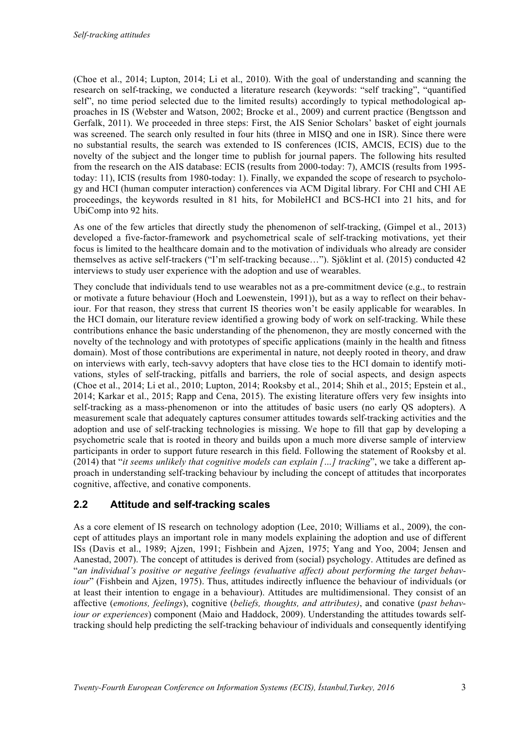(Choe et al., 2014; Lupton, 2014; Li et al., 2010). With the goal of understanding and scanning the research on self-tracking, we conducted a literature research (keywords: "self tracking", "quantified self", no time period selected due to the limited results) accordingly to typical methodological approaches in IS (Webster and Watson, 2002; Brocke et al., 2009) and current practice (Bengtsson and Gerfalk, 2011). We proceeded in three steps: First, the AIS Senior Scholars' basket of eight journals was screened. The search only resulted in four hits (three in MISQ and one in ISR). Since there were no substantial results, the search was extended to IS conferences (ICIS, AMCIS, ECIS) due to the novelty of the subject and the longer time to publish for journal papers. The following hits resulted from the research on the AIS database: ECIS (results from 2000-today: 7), AMCIS (results from 1995 today: 11), ICIS (results from 1980-today: 1). Finally, we expanded the scope of research to psychology and HCI (human computer interaction) conferences via ACM Digital library. For CHI and CHI AE proceedings, the keywords resulted in 81 hits, for MobileHCI and BCS-HCI into 21 hits, and for UbiComp into 92 hits.

As one of the few articles that directly study the phenomenon of self-tracking, (Gimpel et al., 2013) developed a five-factor-framework and psychometrical scale of self-tracking motivations, yet their focus is limited to the healthcare domain and to the motivation of individuals who already are consider themselves as active self-trackers ("I'm self-tracking because…"). Sjöklint et al. (2015) conducted 42 interviews to study user experience with the adoption and use of wearables.

They conclude that individuals tend to use wearables not as a pre-commitment device (e.g., to restrain or motivate a future behaviour (Hoch and Loewenstein, 1991)), but as a way to reflect on their behaviour. For that reason, they stress that current IS theories won't be easily applicable for wearables. In the HCI domain, our literature review identified a growing body of work on self-tracking. While these contributions enhance the basic understanding of the phenomenon, they are mostly concerned with the novelty of the technology and with prototypes of specific applications (mainly in the health and fitness domain). Most of those contributions are experimental in nature, not deeply rooted in theory, and draw on interviews with early, tech-savvy adopters that have close ties to the HCI domain to identify motivations, styles of self-tracking, pitfalls and barriers, the role of social aspects, and design aspects (Choe et al., 2014; Li et al., 2010; Lupton, 2014; Rooksby et al., 2014; Shih et al., 2015; Epstein et al., 2014; Karkar et al., 2015; Rapp and Cena, 2015). The existing literature offers very few insights into self-tracking as a mass-phenomenon or into the attitudes of basic users (no early QS adopters). A measurement scale that adequately captures consumer attitudes towards self-tracking activities and the adoption and use of self-tracking technologies is missing. We hope to fill that gap by developing a psychometric scale that is rooted in theory and builds upon a much more diverse sample of interview participants in order to support future research in this field. Following the statement of Rooksby et al. (2014) that "*it seems unlikely that cognitive models can explain […] tracking*", we take a different approach in understanding self-tracking behaviour by including the concept of attitudes that incorporates cognitive, affective, and conative components.

### **2.2** Attitude and self-tracking scales

As a core element of IS research on technology adoption (Lee, 2010; Williams et al., 2009), the concept of attitudes plays an important role in many models explaining the adoption and use of different ISs (Davis et al., 1989; Ajzen, 1991; Fishbein and Ajzen, 1975; Yang and Yoo, 2004; Jensen and Aanestad, 2007). The concept of attitudes is derived from (social) psychology. Attitudes are defined as "*an individual's positive or negative feelings (evaluative affect) about performing the target behaviour*" (Fishbein and Ajzen, 1975). Thus, attitudes indirectly influence the behaviour of individuals (or at least their intention to engage in a behaviour). Attitudes are multidimensional. They consist of an affective (*emotions, feelings*), cognitive (*beliefs, thoughts, and attributes)*, and conative (*past behaviour or experiences*) component (Maio and Haddock, 2009). Understanding the attitudes towards selftracking should help predicting the self-tracking behaviour of individuals and consequently identifying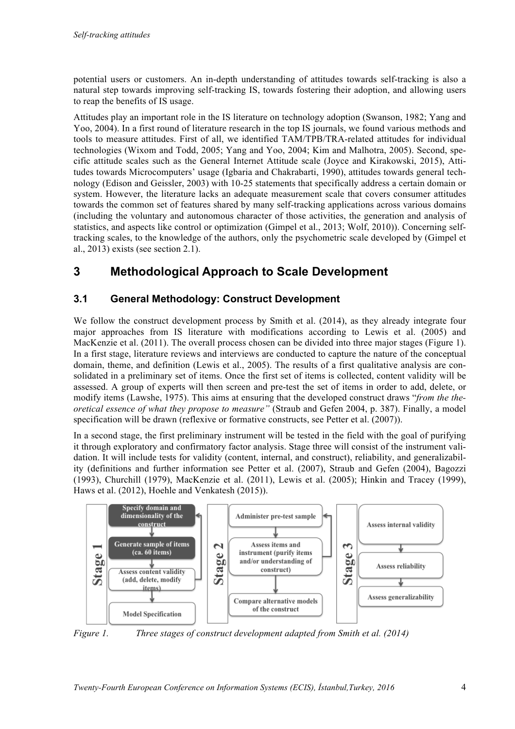potential users or customers. An in-depth understanding of attitudes towards self-tracking is also a natural step towards improving self-tracking IS, towards fostering their adoption, and allowing users to reap the benefits of IS usage.

Attitudes play an important role in the IS literature on technology adoption (Swanson, 1982; Yang and Yoo, 2004). In a first round of literature research in the top IS journals, we found various methods and tools to measure attitudes. First of all, we identified TAM/TPB/TRA-related attitudes for individual technologies (Wixom and Todd, 2005; Yang and Yoo, 2004; Kim and Malhotra, 2005). Second, specific attitude scales such as the General Internet Attitude scale (Joyce and Kirakowski, 2015), Attitudes towards Microcomputers' usage (Igbaria and Chakrabarti, 1990), attitudes towards general technology (Edison and Geissler, 2003) with 10-25 statements that specifically address a certain domain or system. However, the literature lacks an adequate measurement scale that covers consumer attitudes towards the common set of features shared by many self-tracking applications across various domains (including the voluntary and autonomous character of those activities, the generation and analysis of statistics, and aspects like control or optimization (Gimpel et al., 2013; Wolf, 2010)). Concerning selftracking scales, to the knowledge of the authors, only the psychometric scale developed by (Gimpel et al., 2013) exists (see section 2.1).

### **3** Methodological Approach to Scale Development

### **3.1 •• General Methodology: Construct Development**

We follow the construct development process by Smith et al. (2014), as they already integrate four major approaches from IS literature with modifications according to Lewis et al. (2005) and MacKenzie et al. (2011). The overall process chosen can be divided into three major stages (Figure 1). In a first stage, literature reviews and interviews are conducted to capture the nature of the conceptual domain, theme, and definition (Lewis et al., 2005). The results of a first qualitative analysis are consolidated in a preliminary set of items. Once the first set of items is collected, content validity will be assessed. A group of experts will then screen and pre-test the set of items in order to add, delete, or modify items (Lawshe, 1975). This aims at ensuring that the developed construct draws "*from the theoretical essence of what they propose to measure"* (Straub and Gefen 2004, p. 387). Finally, a model specification will be drawn (reflexive or formative constructs, see Petter et al. (2007)).

In a second stage, the first preliminary instrument will be tested in the field with the goal of purifying it through exploratory and confirmatory factor analysis. Stage three will consist of the instrument validation. It will include tests for validity (content, internal, and construct), reliability, and generalizability (definitions and further information see Petter et al. (2007), Straub and Gefen (2004), Bagozzi (1993), Churchill (1979), MacKenzie et al. (2011), Lewis et al. (2005); Hinkin and Tracey (1999), Haws et al. (2012), Hoehle and Venkatesh (2015)).



*Figure 1. Three stages of construct development adapted from Smith et al. (2014)*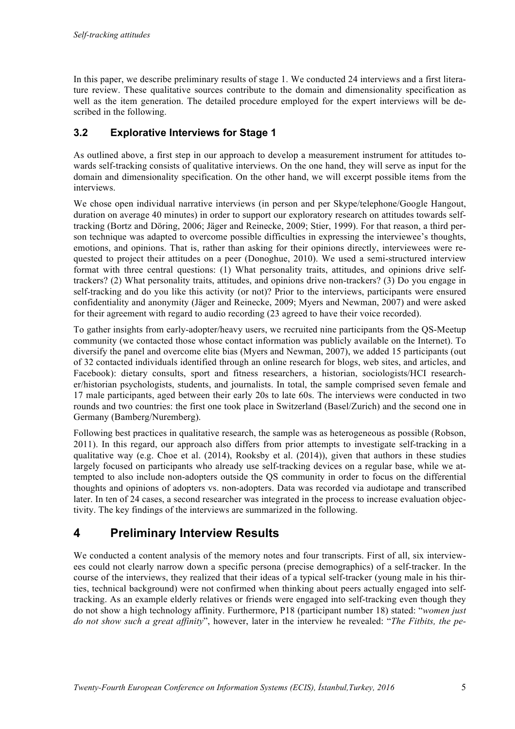In this paper, we describe preliminary results of stage 1. We conducted 24 interviews and a first literature review. These qualitative sources contribute to the domain and dimensionality specification as well as the item generation. The detailed procedure employed for the expert interviews will be described in the following.

### **3.2** Explorative Interviews for Stage 1

As outlined above, a first step in our approach to develop a measurement instrument for attitudes towards self-tracking consists of qualitative interviews. On the one hand, they will serve as input for the domain and dimensionality specification. On the other hand, we will excerpt possible items from the interviews.

We chose open individual narrative interviews (in person and per Skype/telephone/Google Hangout, duration on average 40 minutes) in order to support our exploratory research on attitudes towards selftracking (Bortz and Döring, 2006; Jäger and Reinecke, 2009; Stier, 1999). For that reason, a third person technique was adapted to overcome possible difficulties in expressing the interviewee's thoughts, emotions, and opinions. That is, rather than asking for their opinions directly, interviewees were requested to project their attitudes on a peer (Donoghue, 2010). We used a semi-structured interview format with three central questions: (1) What personality traits, attitudes, and opinions drive selftrackers? (2) What personality traits, attitudes, and opinions drive non-trackers? (3) Do you engage in self-tracking and do you like this activity (or not)? Prior to the interviews, participants were ensured confidentiality and anonymity (Jäger and Reinecke, 2009; Myers and Newman, 2007) and were asked for their agreement with regard to audio recording (23 agreed to have their voice recorded).

To gather insights from early-adopter/heavy users, we recruited nine participants from the QS-Meetup community (we contacted those whose contact information was publicly available on the Internet). To diversify the panel and overcome elite bias (Myers and Newman, 2007), we added 15 participants (out of 32 contacted individuals identified through an online research for blogs, web sites, and articles, and Facebook): dietary consults, sport and fitness researchers, a historian, sociologists/HCI researcher/historian psychologists, students, and journalists. In total, the sample comprised seven female and 17 male participants, aged between their early 20s to late 60s. The interviews were conducted in two rounds and two countries: the first one took place in Switzerland (Basel/Zurich) and the second one in Germany (Bamberg/Nuremberg).

Following best practices in qualitative research, the sample was as heterogeneous as possible (Robson, 2011). In this regard, our approach also differs from prior attempts to investigate self-tracking in a qualitative way (e.g. Choe et al. (2014), Rooksby et al. (2014)), given that authors in these studies largely focused on participants who already use self-tracking devices on a regular base, while we attempted to also include non-adopters outside the QS community in order to focus on the differential thoughts and opinions of adopters vs. non-adopters. Data was recorded via audiotape and transcribed later. In ten of 24 cases, a second researcher was integrated in the process to increase evaluation objectivity. The key findings of the interviews are summarized in the following.

## **4** Preliminary Interview Results

We conducted a content analysis of the memory notes and four transcripts. First of all, six interviewees could not clearly narrow down a specific persona (precise demographics) of a self-tracker. In the course of the interviews, they realized that their ideas of a typical self-tracker (young male in his thirties, technical background) were not confirmed when thinking about peers actually engaged into selftracking. As an example elderly relatives or friends were engaged into self-tracking even though they do not show a high technology affinity. Furthermore, P18 (participant number 18) stated: "*women just do not show such a great affinity*", however, later in the interview he revealed: "*The Fitbits, the pe-*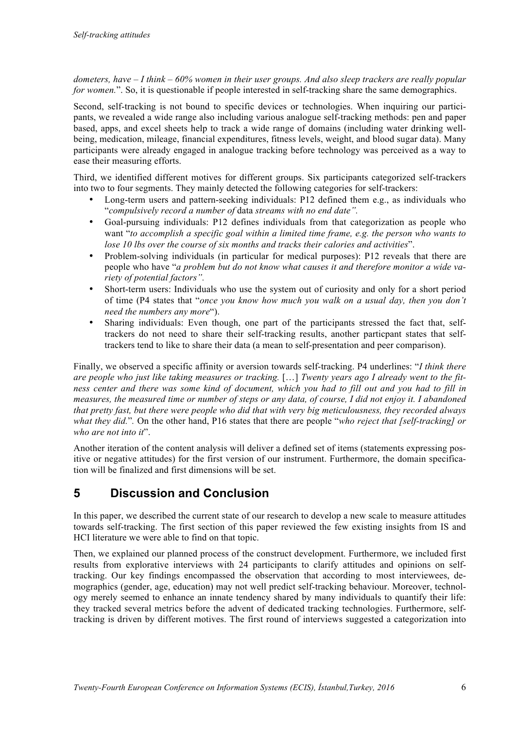*dometers, have – I think – 60% women in their user groups. And also sleep trackers are really popular for women.*". So, it is questionable if people interested in self-tracking share the same demographics.

Second, self-tracking is not bound to specific devices or technologies. When inquiring our participants, we revealed a wide range also including various analogue self-tracking methods: pen and paper based, apps, and excel sheets help to track a wide range of domains (including water drinking wellbeing, medication, mileage, financial expenditures, fitness levels, weight, and blood sugar data). Many participants were already engaged in analogue tracking before technology was perceived as a way to ease their measuring efforts.

Third, we identified different motives for different groups. Six participants categorized self-trackers into two to four segments. They mainly detected the following categories for self-trackers:

- Long-term users and pattern-seeking individuals: P12 defined them e.g., as individuals who "*compulsively record a number of* data *streams with no end date".*
- Goal-pursuing individuals: P12 defines individuals from that categorization as people who want "*to accomplish a specific goal within a limited time frame, e.g. the person who wants to lose 10 lbs over the course of six months and tracks their calories and activities*".
- Problem-solving individuals (in particular for medical purposes): P12 reveals that there are people who have "*a problem but do not know what causes it and therefore monitor a wide variety of potential factors".*
- Short-term users: Individuals who use the system out of curiosity and only for a short period of time (P4 states that "*once you know how much you walk on a usual day, then you don't need the numbers any more*").
- Sharing individuals: Even though, one part of the participants stressed the fact that, selftrackers do not need to share their self-tracking results, another particpant states that selftrackers tend to like to share their data (a mean to self-presentation and peer comparison).

Finally, we observed a specific affinity or aversion towards self-tracking. P4 underlines: "*I think there are people who just like taking measures or tracking.* […] *Twenty years ago I already went to the fitness center and there was some kind of document, which you had to fill out and you had to fill in measures, the measured time or number of steps or any data, of course, I did not enjoy it. I abandoned that pretty fast, but there were people who did that with very big meticulousness, they recorded always what they did.*"*.* On the other hand, P16 states that there are people "*who reject that [self-tracking] or who are not into it*".

Another iteration of the content analysis will deliver a defined set of items (statements expressing positive or negative attitudes) for the first version of our instrument. Furthermore, the domain specification will be finalized and first dimensions will be set.

# **5** Discussion and Conclusion

In this paper, we described the current state of our research to develop a new scale to measure attitudes towards self-tracking. The first section of this paper reviewed the few existing insights from IS and HCI literature we were able to find on that topic.

Then, we explained our planned process of the construct development. Furthermore, we included first results from explorative interviews with 24 participants to clarify attitudes and opinions on selftracking. Our key findings encompassed the observation that according to most interviewees, demographics (gender, age, education) may not well predict self-tracking behaviour. Moreover, technology merely seemed to enhance an innate tendency shared by many individuals to quantify their life: they tracked several metrics before the advent of dedicated tracking technologies. Furthermore, selftracking is driven by different motives. The first round of interviews suggested a categorization into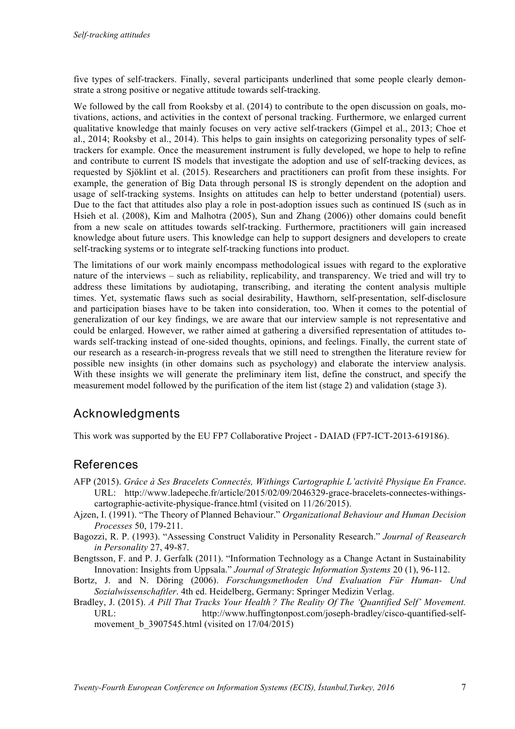five types of self-trackers. Finally, several participants underlined that some people clearly demonstrate a strong positive or negative attitude towards self-tracking.

We followed by the call from Rooksby et al. (2014) to contribute to the open discussion on goals, motivations, actions, and activities in the context of personal tracking. Furthermore, we enlarged current qualitative knowledge that mainly focuses on very active self-trackers (Gimpel et al., 2013; Choe et al., 2014; Rooksby et al., 2014). This helps to gain insights on categorizing personality types of selftrackers for example. Once the measurement instrument is fully developed, we hope to help to refine and contribute to current IS models that investigate the adoption and use of self-tracking devices, as requested by Sjöklint et al. (2015). Researchers and practitioners can profit from these insights. For example, the generation of Big Data through personal IS is strongly dependent on the adoption and usage of self-tracking systems. Insights on attitudes can help to better understand (potential) users. Due to the fact that attitudes also play a role in post-adoption issues such as continued IS (such as in Hsieh et al. (2008), Kim and Malhotra (2005), Sun and Zhang (2006)) other domains could benefit from a new scale on attitudes towards self-tracking. Furthermore, practitioners will gain increased knowledge about future users. This knowledge can help to support designers and developers to create self-tracking systems or to integrate self-tracking functions into product.

The limitations of our work mainly encompass methodological issues with regard to the explorative nature of the interviews – such as reliability, replicability, and transparency. We tried and will try to address these limitations by audiotaping, transcribing, and iterating the content analysis multiple times. Yet, systematic flaws such as social desirability, Hawthorn, self-presentation, self-disclosure and participation biases have to be taken into consideration, too. When it comes to the potential of generalization of our key findings, we are aware that our interview sample is not representative and could be enlarged. However, we rather aimed at gathering a diversified representation of attitudes towards self-tracking instead of one-sided thoughts, opinions, and feelings. Finally, the current state of our research as a research-in-progress reveals that we still need to strengthen the literature review for possible new insights (in other domains such as psychology) and elaborate the interview analysis. With these insights we will generate the preliminary item list, define the construct, and specify the measurement model followed by the purification of the item list (stage 2) and validation (stage 3).

### Acknowledaments

This work was supported by the EU FP7 Collaborative Project - DAIAD (FP7-ICT-2013-619186).

### References

- AFP (2015). *Grâce à Ses Bracelets Connectés, Withings Cartographie L'activité Physique En France*. URL: http://www.ladepeche.fr/article/2015/02/09/2046329-grace-bracelets-connectes-withingscartographie-activite-physique-france.html (visited on 11/26/2015).
- Ajzen, I. (1991). "The Theory of Planned Behaviour." *Organizational Behaviour and Human Decision Processes* 50, 179-211.
- Bagozzi, R. P. (1993). "Assessing Construct Validity in Personality Research." *Journal of Reasearch in Personality* 27, 49-87.
- Bengtsson, F. and P. J. Gerfalk (2011). "Information Technology as a Change Actant in Sustainability Innovation: Insights from Uppsala." *Journal of Strategic Information Systems* 20 (1), 96-112.
- Bortz, J. and N. Döring (2006). *Forschungsmethoden Und Evaluation Für Human- Und Sozialwissenschaftler*. 4th ed. Heidelberg, Germany: Springer Medizin Verlag.
- Bradley, J. (2015). *A Pill That Tracks Your Health ? The Reality Of The 'Quantified Self' Movement.*  URL: http://www.huffingtonpost.com/joseph-bradley/cisco-quantified-selfmovement b 3907545.html (visited on  $17/04/2015$ )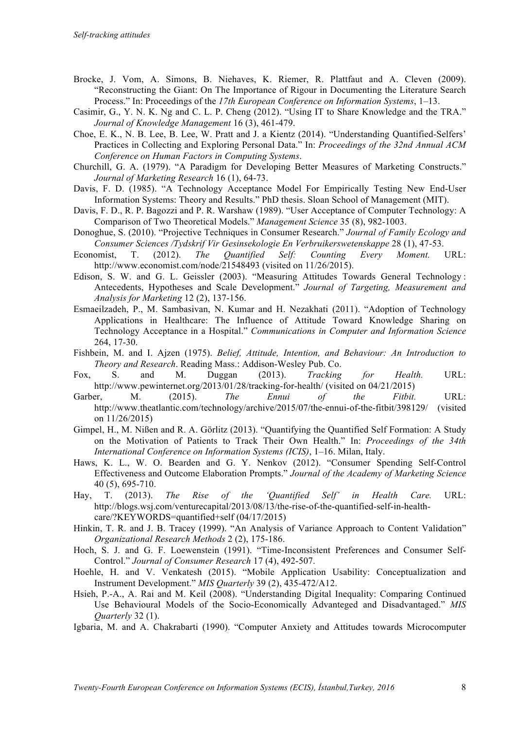- Brocke, J. Vom, A. Simons, B. Niehaves, K. Riemer, R. Plattfaut and A. Cleven (2009). "Reconstructing the Giant: On The Importance of Rigour in Documenting the Literature Search Process." In: Proceedings of the *17th European Conference on Information Systems*, 1–13.
- Casimir, G., Y. N. K. Ng and C. L. P. Cheng (2012). "Using IT to Share Knowledge and the TRA." *Journal of Knowledge Management* 16 (3), 461-479.
- Choe, E. K., N. B. Lee, B. Lee, W. Pratt and J. a Kientz (2014). "Understanding Quantified-Selfers' Practices in Collecting and Exploring Personal Data." In: *Proceedings of the 32nd Annual ACM Conference on Human Factors in Computing Systems*.
- Churchill, G. A. (1979). "A Paradigm for Developing Better Measures of Marketing Constructs." *Journal of Marketing Research* 16 (1), 64-73.
- Davis, F. D. (1985). "A Technology Acceptance Model For Empirically Testing New End-User Information Systems: Theory and Results." PhD thesis. Sloan School of Management (MIT).
- Davis, F. D., R. P. Bagozzi and P. R. Warshaw (1989). "User Acceptance of Computer Technology: A Comparison of Two Theoretical Models." *Management Science* 35 (8), 982-1003.
- Donoghue, S. (2010). "Projective Techniques in Consumer Research." *Journal of Family Ecology and Consumer Sciences /Tydskrif Vir Gesinsekologie En Verbruikerswetenskappe* 28 (1), 47-53.
- Economist, T. (2012). *The Quantified Self: Counting Every Moment.* URL: http://www.economist.com/node/21548493 (visited on 11/26/2015).
- Edison, S. W. and G. L. Geissler (2003). "Measuring Attitudes Towards General Technology : Antecedents, Hypotheses and Scale Development." *Journal of Targeting, Measurement and Analysis for Marketing* 12 (2), 137-156.
- Esmaeilzadeh, P., M. Sambasivan, N. Kumar and H. Nezakhati (2011). "Adoption of Technology Applications in Healthcare: The Influence of Attitude Toward Knowledge Sharing on Technology Acceptance in a Hospital." *Communications in Computer and Information Science* 264, 17-30.
- Fishbein, M. and I. Ajzen (1975). *Belief, Attitude, Intention, and Behaviour: An Introduction to Theory and Research*. Reading Mass.: Addison-Wesley Pub. Co.
- Fox, S. and M. Duggan (2013). *Tracking for Health.* URL: http://www.pewinternet.org/2013/01/28/tracking-for-health/ (visited on 04/21/2015)
- Garber, M. (2015). *The Ennui of the Fitbit.* URL: http://www.theatlantic.com/technology/archive/2015/07/the-ennui-of-the-fitbit/398129/ (visited on 11/26/2015)
- Gimpel, H., M. Nißen and R. A. Görlitz (2013). "Quantifying the Quantified Self Formation: A Study on the Motivation of Patients to Track Their Own Health." In: *Proceedings of the 34th International Conference on Information Systems (ICIS)*, 1–16. Milan, Italy.
- Haws, K. L., W. O. Bearden and G. Y. Nenkov (2012). "Consumer Spending Self-Control Effectiveness and Outcome Elaboration Prompts." *Journal of the Academy of Marketing Science* 40 (5), 695-710.
- Hay, T. (2013). *The Rise of the 'Quantified Self' in Health Care.* URL: http://blogs.wsj.com/venturecapital/2013/08/13/the-rise-of-the-quantified-self-in-healthcare/?KEYWORDS=quantified+self (04/17/2015)
- Hinkin, T. R. and J. B. Tracey (1999). "An Analysis of Variance Approach to Content Validation" *Organizational Research Methods* 2 (2), 175-186.
- Hoch, S. J. and G. F. Loewenstein (1991). "Time-Inconsistent Preferences and Consumer Self-Control." *Journal of Consumer Research* 17 (4), 492-507.
- Hoehle, H. and V. Venkatesh (2015). "Mobile Application Usability: Conceptualization and Instrument Development." *MIS Quarterly* 39 (2), 435-472/A12.
- Hsieh, P.-A., A. Rai and M. Keil (2008). "Understanding Digital Inequality: Comparing Continued Use Behavioural Models of the Socio-Economically Advanteged and Disadvantaged." *MIS Quarterly* 32 (1).
- Igbaria, M. and A. Chakrabarti (1990). "Computer Anxiety and Attitudes towards Microcomputer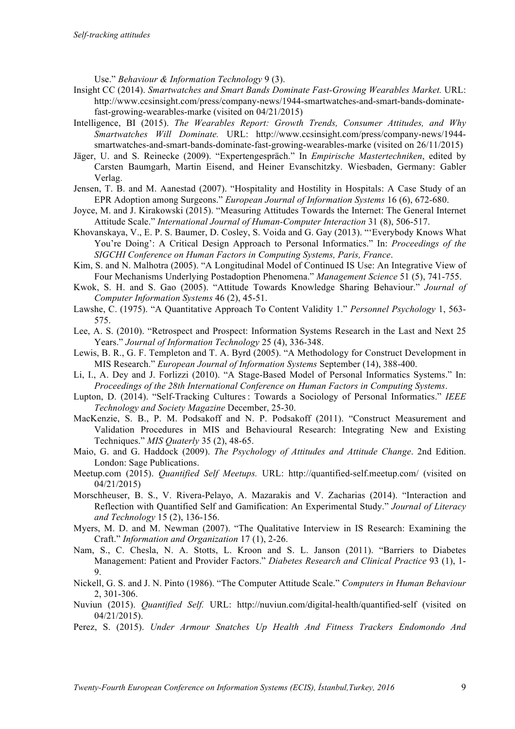Use." *Behaviour & Information Technology* 9 (3).

- Insight CC (2014). *Smartwatches and Smart Bands Dominate Fast-Growing Wearables Market.* URL: http://www.ccsinsight.com/press/company-news/1944-smartwatches-and-smart-bands-dominatefast-growing-wearables-marke (visited on 04/21/2015)
- Intelligence, BI (2015). *The Wearables Report: Growth Trends, Consumer Attitudes, and Why Smartwatches Will Dominate.* URL: http://www.ccsinsight.com/press/company-news/1944 smartwatches-and-smart-bands-dominate-fast-growing-wearables-marke (visited on 26/11/2015)
- Jäger, U. and S. Reinecke (2009). "Expertengespräch." In *Empirische Mastertechniken*, edited by Carsten Baumgarh, Martin Eisend, and Heiner Evanschitzky. Wiesbaden, Germany: Gabler Verlag.
- Jensen, T. B. and M. Aanestad (2007). "Hospitality and Hostility in Hospitals: A Case Study of an EPR Adoption among Surgeons." *European Journal of Information Systems* 16 (6), 672-680.
- Joyce, M. and J. Kirakowski (2015). "Measuring Attitudes Towards the Internet: The General Internet Attitude Scale." *International Journal of Human-Computer Interaction* 31 (8), 506-517.
- Khovanskaya, V., E. P. S. Baumer, D. Cosley, S. Voida and G. Gay (2013). "'Everybody Knows What You're Doing': A Critical Design Approach to Personal Informatics." In: *Proceedings of the SIGCHI Conference on Human Factors in Computing Systems, Paris, France*.
- Kim, S. and N. Malhotra (2005). "A Longitudinal Model of Continued IS Use: An Integrative View of Four Mechanisms Underlying Postadoption Phenomena." *Management Science* 51 (5), 741-755.
- Kwok, S. H. and S. Gao (2005). "Attitude Towards Knowledge Sharing Behaviour." *Journal of Computer Information Systems* 46 (2), 45-51.
- Lawshe, C. (1975). "A Quantitative Approach To Content Validity 1." *Personnel Psychology* 1, 563- 575.
- Lee, A. S. (2010). "Retrospect and Prospect: Information Systems Research in the Last and Next 25 Years." *Journal of Information Technology* 25 (4), 336-348.
- Lewis, B. R., G. F. Templeton and T. A. Byrd (2005). "A Methodology for Construct Development in MIS Research." *European Journal of Information Systems* September (14), 388-400.
- Li, I., A. Dey and J. Forlizzi (2010). "A Stage-Based Model of Personal Informatics Systems." In: *Proceedings of the 28th International Conference on Human Factors in Computing Systems*.
- Lupton, D. (2014). "Self-Tracking Cultures : Towards a Sociology of Personal Informatics." *IEEE Technology and Society Magazine* December, 25-30.
- MacKenzie, S. B., P. M. Podsakoff and N. P. Podsakoff (2011). "Construct Measurement and Validation Procedures in MIS and Behavioural Research: Integrating New and Existing Techniques." *MIS Quaterly* 35 (2), 48-65.
- Maio, G. and G. Haddock (2009). *The Psychology of Attitudes and Attitude Change*. 2nd Edition. London: Sage Publications.
- Meetup.com (2015). *Quantified Self Meetups.* URL: http://quantified-self.meetup.com/ (visited on 04/21/2015)
- Morschheuser, B. S., V. Rivera-Pelayo, A. Mazarakis and V. Zacharias (2014). "Interaction and Reflection with Quantified Self and Gamification: An Experimental Study." *Journal of Literacy and Technology* 15 (2), 136-156.
- Myers, M. D. and M. Newman (2007). "The Qualitative Interview in IS Research: Examining the Craft." *Information and Organization* 17 (1), 2-26.
- Nam, S., C. Chesla, N. A. Stotts, L. Kroon and S. L. Janson (2011). "Barriers to Diabetes Management: Patient and Provider Factors." *Diabetes Research and Clinical Practice* 93 (1), 1- 9.
- Nickell, G. S. and J. N. Pinto (1986). "The Computer Attitude Scale." *Computers in Human Behaviour* 2, 301-306.
- Nuviun (2015). *Quantified Self.* URL: http://nuviun.com/digital-health/quantified-self (visited on 04/21/2015).
- Perez, S. (2015). *Under Armour Snatches Up Health And Fitness Trackers Endomondo And*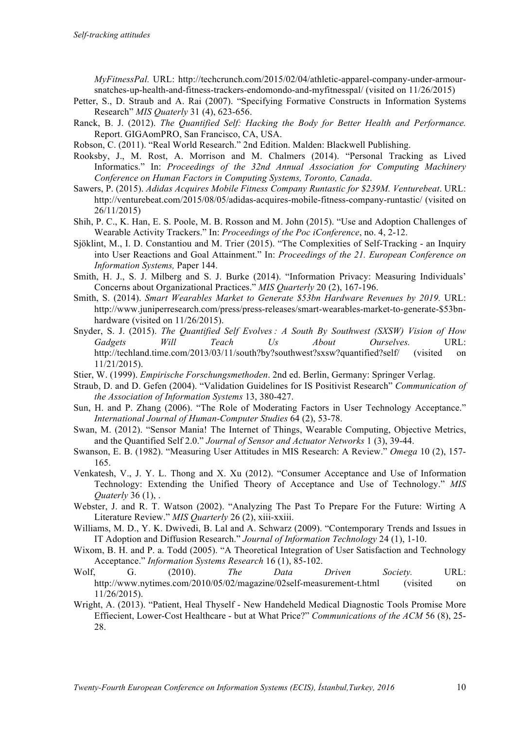*MyFitnessPal.* URL: http://techcrunch.com/2015/02/04/athletic-apparel-company-under-armoursnatches-up-health-and-fitness-trackers-endomondo-and-myfitnesspal/ (visited on 11/26/2015)

- Petter, S., D. Straub and A. Rai (2007). "Specifying Formative Constructs in Information Systems Research" *MIS Quaterly* 31 (4), 623-656.
- Ranck, B. J. (2012). *The Quantified Self: Hacking the Body for Better Health and Performance.* Report. GIGAomPRO, San Francisco, CA, USA.
- Robson, C. (2011). "Real World Research." 2nd Edition. Malden: Blackwell Publishing.
- Rooksby, J., M. Rost, A. Morrison and M. Chalmers (2014). "Personal Tracking as Lived Informatics." In: *Proceedings of the 32nd Annual Association for Computing Machinery Conference on Human Factors in Computing Systems, Toronto, Canada*.
- Sawers, P. (2015). *Adidas Acquires Mobile Fitness Company Runtastic for \$239M. Venturebeat*. URL: http://venturebeat.com/2015/08/05/adidas-acquires-mobile-fitness-company-runtastic/ (visited on 26/11/2015)
- Shih, P. C., K. Han, E. S. Poole, M. B. Rosson and M. John (2015). "Use and Adoption Challenges of Wearable Activity Trackers." In: *Proceedings of the Poc iConference*, no. 4, 2-12.
- Sjöklint, M., I. D. Constantiou and M. Trier (2015). "The Complexities of Self-Tracking an Inquiry into User Reactions and Goal Attainment." In: *Proceedings of the 21. European Conference on Information Systems,* Paper 144.
- Smith, H. J., S. J. Milberg and S. J. Burke (2014). "Information Privacy: Measuring Individuals' Concerns about Organizational Practices." *MIS Quarterly* 20 (2), 167-196.
- Smith, S. (2014). *Smart Wearables Market to Generate \$53bn Hardware Revenues by 2019.* URL: http://www.juniperresearch.com/press/press-releases/smart-wearables-market-to-generate-\$53bnhardware (visited on  $11/26/2015$ ).
- Snyder, S. J. (2015). *The Quantified Self Evolves : A South By Southwest (SXSW) Vision of How Gadgets Will Teach Us About Ourselves.* URL: http://techland.time.com/2013/03/11/south?by?southwest?sxsw?quantified?self/ (visited on 11/21/2015).
- Stier, W. (1999). *Empirische Forschungsmethoden*. 2nd ed. Berlin, Germany: Springer Verlag.
- Straub, D. and D. Gefen (2004). "Validation Guidelines for IS Positivist Research" *Communication of the Association of Information Systems* 13, 380-427.
- Sun, H. and P. Zhang (2006). "The Role of Moderating Factors in User Technology Acceptance." *International Journal of Human-Computer Studies* 64 (2), 53-78.
- Swan, M. (2012). "Sensor Mania! The Internet of Things, Wearable Computing, Objective Metrics, and the Quantified Self 2.0." *Journal of Sensor and Actuator Networks* 1 (3), 39-44.
- Swanson, E. B. (1982). "Measuring User Attitudes in MIS Research: A Review." *Omega* 10 (2), 157- 165.
- Venkatesh, V., J. Y. L. Thong and X. Xu (2012). "Consumer Acceptance and Use of Information Technology: Extending the Unified Theory of Acceptance and Use of Technology." *MIS Quaterly* 36 (1), .
- Webster, J. and R. T. Watson (2002). "Analyzing The Past To Prepare For the Future: Wirting A Literature Review." *MIS Quarterly* 26 (2), xiii-xxiii.
- Williams, M. D., Y. K. Dwivedi, B. Lal and A. Schwarz (2009). "Contemporary Trends and Issues in IT Adoption and Diffusion Research." *Journal of Information Technology* 24 (1), 1-10.
- Wixom, B. H. and P. a. Todd (2005). "A Theoretical Integration of User Satisfaction and Technology Acceptance." *Information Systems Research* 16 (1), 85-102.
- Wolf, G. (2010). *The Data Driven Society.* URL: http://www.nytimes.com/2010/05/02/magazine/02self-measurement-t.html (visited on 11/26/2015).
- Wright, A. (2013). "Patient, Heal Thyself New Handeheld Medical Diagnostic Tools Promise More Effiecient, Lower-Cost Healthcare - but at What Price?" *Communications of the ACM* 56 (8), 25- 28.